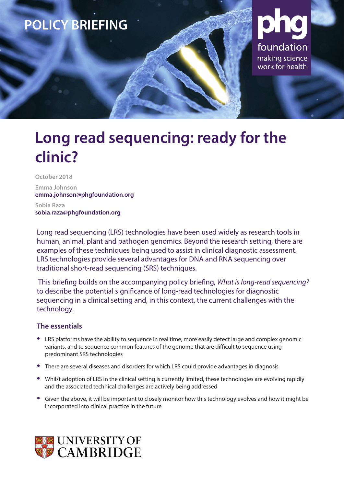

# **Long read sequencing: ready for the clinic?**

**October 2018**

**Emma Johnson emma.johnson@phgfoundation.org**

**Sobia Raza sobia.raza@phgfoundation.org**

Long read sequencing (LRS) technologies have been used widely as research tools in human, animal, plant and pathogen genomics. Beyond the research setting, there are examples of these techniques being used to assist in clinical diagnostic assessment. LRS technologies provide several advantages for DNA and RNA sequencing over traditional short-read sequencing (SRS) techniques.

 This briefing builds on the accompanying policy briefing, *What is long-read sequencing?* to describe the potential significance of long-read technologies for diagnostic sequencing in a clinical setting and, in this context, the current challenges with the technology.

### **The essentials**

- **•** LRS platforms have the ability to sequence in real time, more easily detect large and complex genomic variants, and to sequence common features of the genome that are difficult to sequence using predominant SRS technologies
- **•** There are several diseases and disorders for which LRS could provide advantages in diagnosis
- **•** Whilst adoption of LRS in the clinical setting is currently limited, these technologies are evolving rapidly and the associated technical challenges are actively being addressed
- **•** Given the above, it will be important to closely monitor how this technology evolves and how it might be incorporated into clinical practice in the future

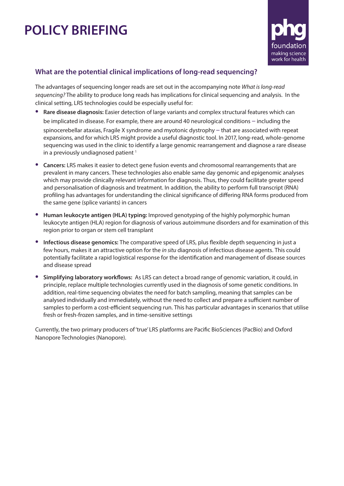## **POLICY BRIEFING**



### **What are the potential clinical implications of long-read sequencing?**

The advantages of sequencing longer reads are set out in the accompanying note *What is long-read sequencing?* The ability to produce long reads has implications for clinical sequencing and analysis. In the clinical setting, LRS technologies could be especially useful for:

- **• Rare disease diagnosis:** Easier detection of large variants and complex structural features which can be implicated in disease. For example, there are around 40 neurological conditions – including the spinocerebellar ataxias, Fragile X syndrome and myotonic dystrophy – that are associated with repeat expansions, and for which LRS might provide a useful diagnostic tool. In 2017, long-read, whole-genome sequencing was used in the clinic to identify a large genomic rearrangement and diagnose a rare disease in a previously undiagnosed patient<sup>1</sup>
- **• Cancers:** LRS makes it easier to detect gene fusion events and chromosomal rearrangements that are prevalent in many cancers. These technologies also enable same day genomic and epigenomic analyses which may provide clinically relevant information for diagnosis. Thus, they could facilitate greater speed and personalisation of diagnosis and treatment. In addition, the ability to perform full transcript (RNA) profiling has advantages for understanding the clinical significance of differing RNA forms produced from the same gene (splice variants) in cancers
- **• Human leukocyte antigen (HLA) typing:** Improved genotyping of the highly polymorphic human leukocyte antigen (HLA) region for diagnosis of various autoimmune disorders and for examination of this region prior to organ or stem cell transplant
- **• Infectious disease genomics:** The comparative speed of LRS, plus flexible depth sequencing in just a few hours, makes it an attractive option for the *in situ* diagnosis of infectious disease agents. This could potentially facilitate a rapid logistical response for the identification and management of disease sources and disease spread
- **• Simplifying laboratory workflows:** As LRS can detect a broad range of genomic variation, it could, in principle, replace multiple technologies currently used in the diagnosis of some genetic conditions. In addition, real-time sequencing obviates the need for batch sampling, meaning that samples can be analysed individually and immediately, without the need to collect and prepare a sufficient number of samples to perform a cost-efficient sequencing run. This has particular advantages in scenarios that utilise fresh or fresh-frozen samples, and in time-sensitive settings

Currently, the two primary producers of 'true' LRS platforms are Pacific BioSciences (PacBio) and Oxford Nanopore Technologies (Nanopore).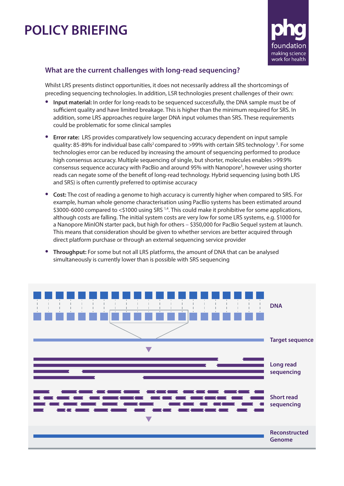## **POLICY BRIEFING**



### **What are the current challenges with long-read sequencing?**

Whilst LRS presents distinct opportunities, it does not necessarily address all the shortcomings of preceding sequencing technologies. In addition, LSR technologies present challenges of their own:

- **• Input material:** In order for long-reads to be sequenced successfully, the DNA sample must be of sufficient quality and have limited breakage. This is higher than the minimum required for SRS. In addition, some LRS approaches require larger DNA input volumes than SRS. These requirements could be problematic for some clinical samples
- **• Error rate:** LRS provides comparatively low sequencing accuracy dependent on input sample quality: 85-89% for individual base calls<sup>2</sup> compared to >99% with certain SRS technology <sup>3</sup>. For some technologies error can be reduced by increasing the amount of sequencing performed to produce high consensus accuracy. Multiple sequencing of single, but shorter, molecules enables >99.9% consensus sequence accuracy with PacBio and around 95% with Nanopore<sup>3</sup>, however using shorter reads can negate some of the benefit of long-read technology. Hybrid sequencing (using both LRS and SRS) is often currently preferred to optimise accuracy
- **• Cost:** The cost of reading a genome to high accuracy is currently higher when compared to SRS. For example, human whole genome characterisation using PacBio systems has been estimated around \$3000-6000 compared to <\$1000 using SRS <sup>1,4</sup>. This could make it prohibitive for some applications, although costs are falling. The initial system costs are very low for some LRS systems, e.g. \$1000 for a Nanopore MinION starter pack, but high for others – \$350,000 for PacBio Sequel system at launch. This means that consideration should be given to whether services are better acquired through direct platform purchase or through an external sequencing service provider
- **• Throughput:** For some but not all LRS platforms, the amount of DNA that can be analysed simultaneously is currently lower than is possible with SRS sequencing